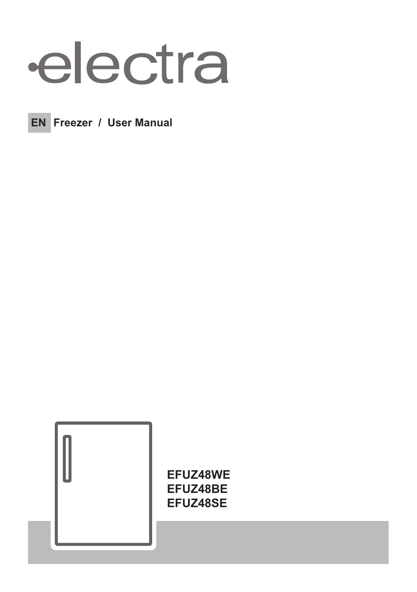# electra



**EN** Freezer / User Manual



EFUZ48WE EFUZ48BE EFUZ48SE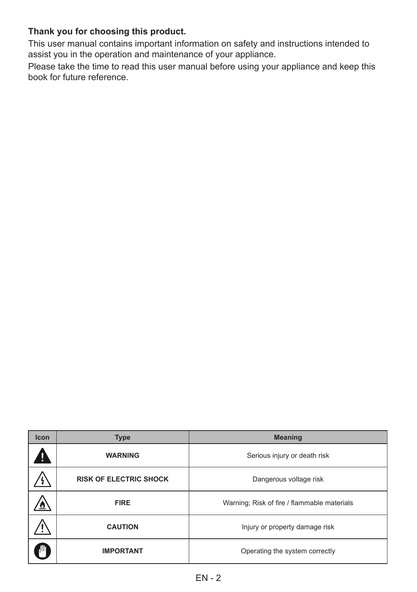#### **Thank you for choosing this product.**

This user manual contains important information on safety and instructions intended to assist you in the operation and maintenance of your appliance.

Please take the time to read this user manual before using your appliance and keep this book for future reference.

| <b>Icon</b>      | <b>Type</b>                   | <b>Meaning</b>                              |  |  |
|------------------|-------------------------------|---------------------------------------------|--|--|
|                  | <b>WARNING</b>                | Serious injury or death risk                |  |  |
|                  | <b>RISK OF ELECTRIC SHOCK</b> | Dangerous voltage risk                      |  |  |
|                  | <b>FIRE</b>                   | Warning; Risk of fire / flammable materials |  |  |
|                  | <b>CAUTION</b>                | Injury or property damage risk              |  |  |
| <b>IMPORTANT</b> |                               | Operating the system correctly              |  |  |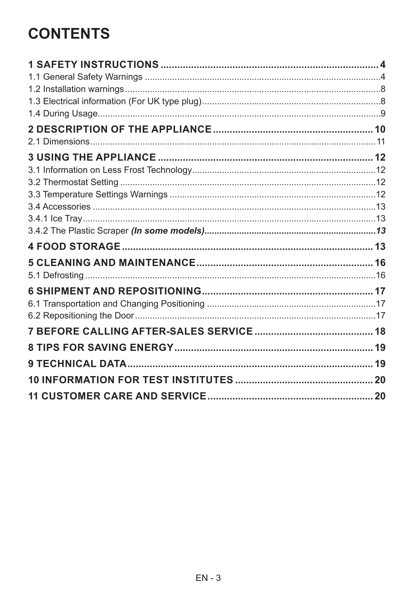# **CONTENTS**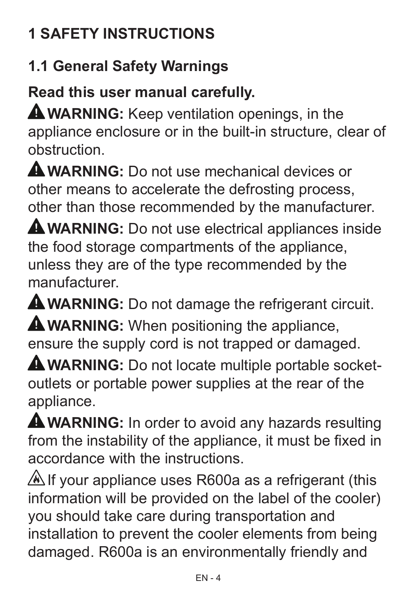# **1 SAFETY INSTRUCTIONS**

# **1.1 General Safety Warnings**

**Read this user manual carefully.**

**A WARNING:** Keep ventilation openings, in the appliance enclosure or in the built-in structure, clear of obstruction.

**WARNING:** Do not use mechanical devices or other means to accelerate the defrosting process, other than those recommended by the manufacturer.

**WARNING:** Do not use electrical appliances inside the food storage compartments of the appliance, unless they are of the type recommended by the manufacturer.

**WARNING:** Do not damage the refrigerant circuit.

**A WARNING:** When positioning the appliance, ensure the supply cord is not trapped or damaged.

**WARNING:** Do not locate multiple portable socketoutlets or portable power supplies at the rear of the appliance.

**WARNING:** In order to avoid any hazards resulting from the instability of the appliance, it must be fixed in accordance with the instructions.

 $\triangle$  If your appliance uses R600a as a refrigerant (this information will be provided on the label of the cooler) you should take care during transportation and installation to prevent the cooler elements from being damaged. R600a is an environmentally friendly and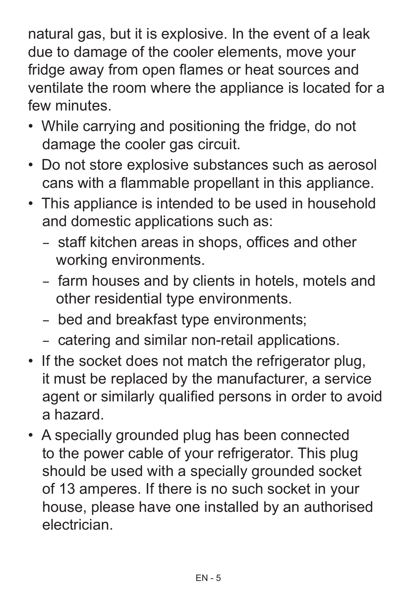natural gas, but it is explosive. In the event of a leak due to damage of the cooler elements, move your fridge away from open flames or heat sources and ventilate the room where the appliance is located for a few minutes.

- While carrying and positioning the fridge, do not damage the cooler gas circuit.
- Do not store explosive substances such as aerosol cans with a flammable propellant in this appliance.
- This appliance is intended to be used in household and domestic applications such as:
	- staff kitchen areas in shops, offices and other working environments.
	- farm houses and by clients in hotels, motels and other residential type environments.
	- bed and breakfast type environments;
	- catering and similar non-retail applications.
- If the socket does not match the refrigerator plug, it must be replaced by the manufacturer, a service agent or similarly qualified persons in order to avoid a hazard.
- A specially grounded plug has been connected to the power cable of your refrigerator. This plug should be used with a specially grounded socket of 13 amperes. If there is no such socket in your house, please have one installed by an authorised electrician.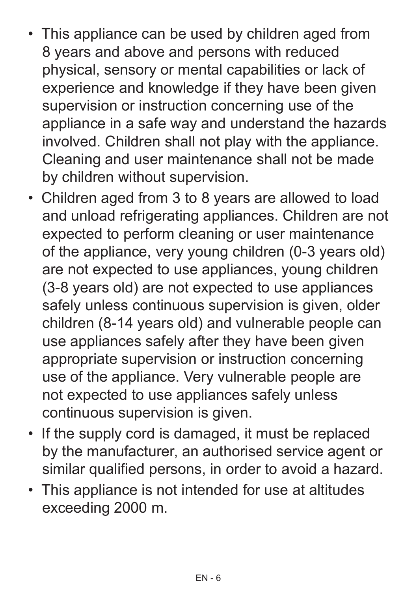- This appliance can be used by children aged from 8 years and above and persons with reduced physical, sensory or mental capabilities or lack of experience and knowledge if they have been given supervision or instruction concerning use of the appliance in a safe way and understand the hazards involved. Children shall not play with the appliance. Cleaning and user maintenance shall not be made by children without supervision.
- Children aged from 3 to 8 years are allowed to load and unload refrigerating appliances. Children are not expected to perform cleaning or user maintenance of the appliance, very young children (0-3 years old) are not expected to use appliances, young children (3-8 years old) are not expected to use appliances safely unless continuous supervision is given, older children (8-14 years old) and vulnerable people can use appliances safely after they have been given appropriate supervision or instruction concerning use of the appliance. Very vulnerable people are not expected to use appliances safely unless continuous supervision is given.
- If the supply cord is damaged, it must be replaced by the manufacturer, an authorised service agent or similar qualified persons, in order to avoid a hazard.
- This appliance is not intended for use at altitudes exceeding 2000 m.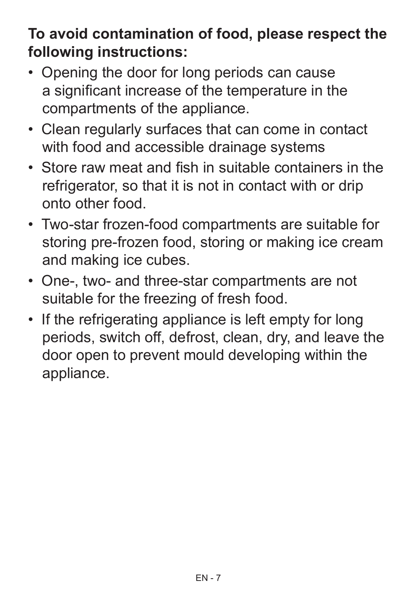# **To avoid contamination of food, please respect the following instructions:**

- Opening the door for long periods can cause a significant increase of the temperature in the compartments of the appliance.
- Clean regularly surfaces that can come in contact with food and accessible drainage systems
- Store raw meat and fish in suitable containers in the refrigerator, so that it is not in contact with or drip onto other food.
- Two-star frozen-food compartments are suitable for storing pre-frozen food, storing or making ice cream and making ice cubes.
- One-, two- and three-star compartments are not suitable for the freezing of fresh food.
- If the refrigerating appliance is left empty for long periods, switch off, defrost, clean, dry, and leave the door open to prevent mould developing within the appliance.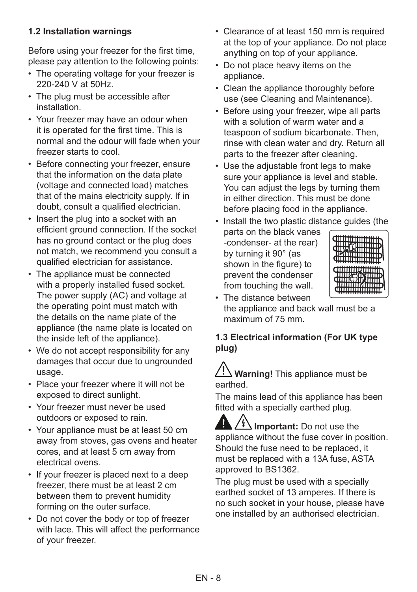#### **1.2 Installation warnings**

Before using your freezer for the first time, please pay attention to the following points:

- The operating voltage for your freezer is 220-240 V at 50Hz.
- The plug must be accessible after installation.
- Your freezer may have an odour when it is operated for the first time. This is normal and the odour will fade when your freezer starts to cool.
- Before connecting your freezer, ensure that the information on the data plate (voltage and connected load) matches that of the mains electricity supply. If in doubt, consult a qualified electrician.
- Insert the plug into a socket with an efficient ground connection. If the socket has no ground contact or the plug does not match, we recommend you consult a qualified electrician for assistance.
- The appliance must be connected with a properly installed fused socket. The power supply (AC) and voltage at the operating point must match with the details on the name plate of the appliance (the name plate is located on the inside left of the appliance).
- We do not accept responsibility for any damages that occur due to ungrounded usage.
- Place your freezer where it will not be exposed to direct sunlight.
- Your freezer must never be used outdoors or exposed to rain.
- Your appliance must be at least 50 cm away from stoves, gas ovens and heater cores, and at least 5 cm away from electrical ovens.
- If your freezer is placed next to a deep freezer, there must be at least 2 cm between them to prevent humidity forming on the outer surface.
- Do not cover the body or top of freezer with lace. This will affect the performance of your freezer.
- Clearance of at least 150 mm is required at the top of your appliance. Do not place anything on top of your appliance.
- Do not place heavy items on the appliance.
- Clean the appliance thoroughly before use (see Cleaning and Maintenance).
- Before using your freezer, wipe all parts with a solution of warm water and a teaspoon of sodium bicarbonate. Then, rinse with clean water and dry. Return all parts to the freezer after cleaning.
- Use the adjustable front legs to make sure your appliance is level and stable. You can adjust the legs by turning them in either direction. This must be done before placing food in the appliance.

• Install the two plastic distance guides (the

parts on the black vanes -condenser- at the rear) by turning it 90° (as shown in the figure) to prevent the condenser from touching the wall.



• The distance between the appliance and back wall must be a maximum of 75 mm.

#### **1.3 Electrical information (For UK type plug)**

### **Warning!** This appliance must be earthed.

The mains lead of this appliance has been fitted with a specially earthed plug.

 $\frac{1}{2}$  Important: Do not use the appliance without the fuse cover in position. Should the fuse need to be replaced, it must be replaced with a 13A fuse, ASTA approved to BS1362.

The plug must be used with a specially earthed socket of 13 amperes. If there is no such socket in your house, please have one installed by an authorised electrician.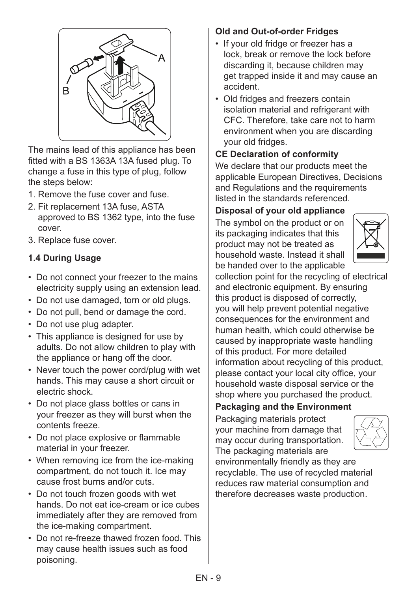

The mains lead of this appliance has been fitted with a BS 1363A 13A fused plug. To change a fuse in this type of plug, follow the steps below:

- 1. Remove the fuse cover and fuse.
- 2. Fit replacement 13A fuse, ASTA approved to BS 1362 type, into the fuse cover.
- 3. Replace fuse cover.

#### **1.4 During Usage**

- Do not connect your freezer to the mains electricity supply using an extension lead.
- Do not use damaged, torn or old plugs.
- Do not pull, bend or damage the cord.
- Do not use plug adapter.
- This appliance is designed for use by adults. Do not allow children to play with the appliance or hang off the door.
- Never touch the power cord/plug with wet hands. This may cause a short circuit or electric shock.
- Do not place glass bottles or cans in your freezer as they will burst when the contents freeze.
- Do not place explosive or flammable material in your freezer.
- When removing ice from the ice-making compartment, do not touch it. Ice may cause frost burns and/or cuts.
- Do not touch frozen goods with wet hands. Do not eat ice-cream or ice cubes immediately after they are removed from the ice-making compartment.
- Do not re-freeze thawed frozen food. This may cause health issues such as food poisoning.

#### **Old and Out-of-order Fridges**

- If your old fridge or freezer has a lock, break or remove the lock before discarding it, because children may get trapped inside it and may cause an accident.
- Old fridges and freezers contain isolation material and refrigerant with CFC. Therefore, take care not to harm environment when you are discarding your old fridges.

#### **CE Declaration of conformity**

We declare that our products meet the applicable European Directives, Decisions and Regulations and the requirements listed in the standards referenced.

#### **Disposal of your old appliance**

The symbol on the product or on its packaging indicates that this product may not be treated as household waste. Instead it shall be handed over to the applicable



collection point for the recycling of electrical and electronic equipment. By ensuring this product is disposed of correctly, you will help prevent potential negative consequences for the environment and human health, which could otherwise be caused by inappropriate waste handling of this product. For more detailed information about recycling of this product, please contact your local city office, your household waste disposal service or the shop where you purchased the product.

**Packaging and the Environment** 

Packaging materials protect your machine from damage that may occur during transportation. The packaging materials are



environmentally friendly as they are recyclable. The use of recycled material reduces raw material consumption and therefore decreases waste production.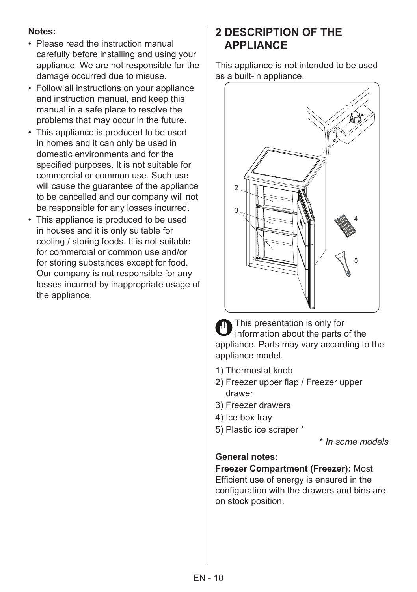#### **Notes:**

- Please read the instruction manual carefully before installing and using your appliance. We are not responsible for the damage occurred due to misuse.
- Follow all instructions on your appliance and instruction manual, and keep this manual in a safe place to resolve the problems that may occur in the future.
- This appliance is produced to be used in homes and it can only be used in domestic environments and for the specified purposes. It is not suitable for commercial or common use. Such use will cause the guarantee of the appliance to be cancelled and our company will not be responsible for any losses incurred.
- This appliance is produced to be used in houses and it is only suitable for cooling / storing foods. It is not suitable for commercial or common use and/or for storing substances except for food. Our company is not responsible for any losses incurred by inappropriate usage of the appliance.

# **2 DESCRIPTION OF THE APPLIANCE**

This appliance is not intended to be used as a built-in appliance.



This presentation is only for information about the parts of the appliance. Parts may vary according to the appliance model.

- 1) Thermostat knob
- 2) Freezer upper flap / Freezer upper drawer
- 3) Freezer drawers
- 4) Ice box tray
- 5) Plastic ice scraper \*

\* *In some models*

#### **General notes:**

**Freezer Compartment (Freezer):** Most Efficient use of energy is ensured in the configuration with the drawers and bins are on stock position.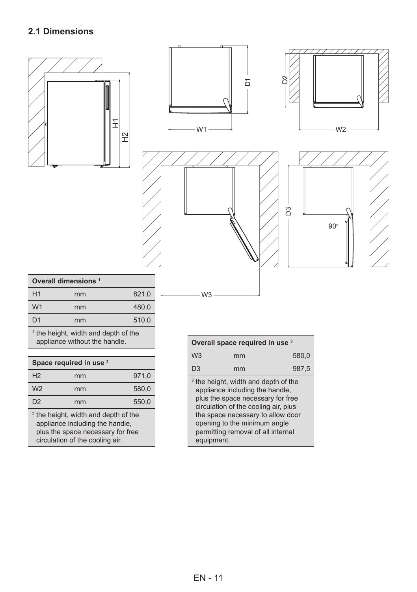#### **2.1 Dimensions**



| Overall dimensions 1 |    |       |  |
|----------------------|----|-------|--|
| H1                   | mm | 821,0 |  |
| W <sub>1</sub>       | mm | 480.0 |  |
| D <sub>1</sub>       | mm | 510,0 |  |
|                      |    |       |  |

 $<sup>1</sup>$  the height, width and depth of the appliance without the handle.</sup>

| Space required in use <sup>2</sup> |    |       |  |
|------------------------------------|----|-------|--|
| H <sub>2</sub>                     | mm | 971,0 |  |
| W <sub>2</sub>                     | mm | 580.0 |  |
| D <sub>2</sub>                     | mm | 550.0 |  |
|                                    |    |       |  |

<sup>2</sup> the height, width and depth of the appliance including the handle, plus the space necessary for free circulation of the cooling air.

| Overall space required in use 3 |                                                                                                                                                                                                                                                                            |       |  |  |
|---------------------------------|----------------------------------------------------------------------------------------------------------------------------------------------------------------------------------------------------------------------------------------------------------------------------|-------|--|--|
| W <sub>3</sub>                  | mm                                                                                                                                                                                                                                                                         | 580.0 |  |  |
| D3                              | mm                                                                                                                                                                                                                                                                         | 987,5 |  |  |
| equipment.                      | <sup>3</sup> the height, width and depth of the<br>appliance including the handle,<br>plus the space necessary for free<br>circulation of the cooling air, plus<br>the space necessary to allow door<br>opening to the minimum angle<br>permitting removal of all internal |       |  |  |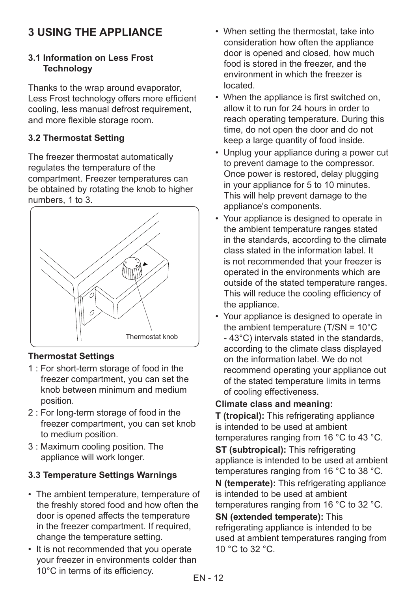# **3 USING THE APPLIANCE**

#### **3.1 Information on Less Frost Technology**

Thanks to the wrap around evaporator, Less Frost technology offers more efficient cooling, less manual defrost requirement, and more flexible storage room.

#### **3.2 Thermostat Setting**

The freezer thermostat automatically regulates the temperature of the compartment. Freezer temperatures can be obtained by rotating the knob to higher numbers, 1 to 3.



#### **Thermostat Settings**

- 1 : For short-term storage of food in the freezer compartment, you can set the knob between minimum and medium position.
- 2 : For long-term storage of food in the freezer compartment, you can set knob to medium position.
- 3 : Maximum cooling position. The appliance will work longer.

#### **3.3 Temperature Settings Warnings**

- The ambient temperature, temperature of the freshly stored food and how often the door is opened affects the temperature in the freezer compartment. If required, change the temperature setting.
- It is not recommended that you operate your freezer in environments colder than 10°C in terms of its efficiency.
- When setting the thermostat, take into consideration how often the appliance door is opened and closed, how much food is stored in the freezer, and the environment in which the freezer is located.
- When the appliance is first switched on, allow it to run for 24 hours in order to reach operating temperature. During this time, do not open the door and do not keep a large quantity of food inside.
- Unplug your appliance during a power cut to prevent damage to the compressor. Once power is restored, delay plugging in your appliance for 5 to 10 minutes. This will help prevent damage to the appliance's components.
- Your appliance is designed to operate in the ambient temperature ranges stated in the standards, according to the climate class stated in the information label. It is not recommended that your freezer is operated in the environments which are outside of the stated temperature ranges. This will reduce the cooling efficiency of the appliance.
- Your appliance is designed to operate in the ambient temperature (T/SN = 10°C - 43°C) intervals stated in the standards, according to the climate class displayed on the information label. We do not recommend operating your appliance out of the stated temperature limits in terms of cooling effectiveness.

#### **Climate class and meaning:**

**T (tropical):** This refrigerating appliance is intended to be used at ambient temperatures ranging from 16 °C to 43 °C.

**ST (subtropical):** This refrigerating appliance is intended to be used at ambient temperatures ranging from 16 °C to 38 °C.

**N (temperate):** This refrigerating appliance is intended to be used at ambient temperatures ranging from 16 °C to 32 °C.

**SN (extended temperate):** This refrigerating appliance is intended to be used at ambient temperatures ranging from 10 °C to 32 °C.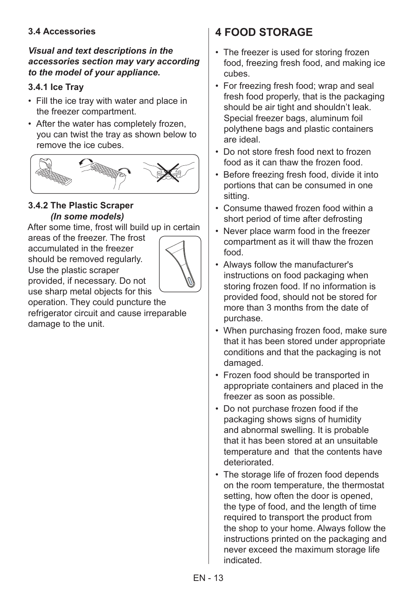#### **3.4 Accessories**

#### *Visual and text descriptions in the accessories section may vary according to the model of your appliance.*

#### **3.4.1 Ice Tray**

- Fill the ice tray with water and place in the freezer compartment.
- After the water has completely frozen, you can twist the tray as shown below to remove the ice cubes.



#### **3.4.2 The Plastic Scraper**  *(In some models)*

After some time, frost will build up in certain

areas of the freezer. The frost accumulated in the freezer should be removed regularly. Use the plastic scraper provided, if necessary. Do not use sharp metal objects for this



operation. They could puncture the refrigerator circuit and cause irreparable damage to the unit.

# **4 FOOD STORAGE**

- The freezer is used for storing frozen food, freezing fresh food, and making ice cubes.
- For freezing fresh food; wrap and seal fresh food properly, that is the packaging should be air tight and shouldn't leak. Special freezer bags, aluminum foil polythene bags and plastic containers are ideal.
- Do not store fresh food next to frozen food as it can thaw the frozen food.
- Before freezing fresh food, divide it into portions that can be consumed in one sitting.
- Consume thawed frozen food within a short period of time after defrosting
- Never place warm food in the freezer compartment as it will thaw the frozen food.
- Always follow the manufacturer's instructions on food packaging when storing frozen food. If no information is provided food, should not be stored for more than 3 months from the date of purchase.
- When purchasing frozen food, make sure that it has been stored under appropriate conditions and that the packaging is not damaged.
- Frozen food should be transported in appropriate containers and placed in the freezer as soon as possible.
- Do not purchase frozen food if the packaging shows signs of humidity and abnormal swelling. It is probable that it has been stored at an unsuitable temperature and that the contents have deteriorated.
- The storage life of frozen food depends on the room temperature, the thermostat setting, how often the door is opened, the type of food, and the length of time required to transport the product from the shop to your home. Always follow the instructions printed on the packaging and never exceed the maximum storage life indicated.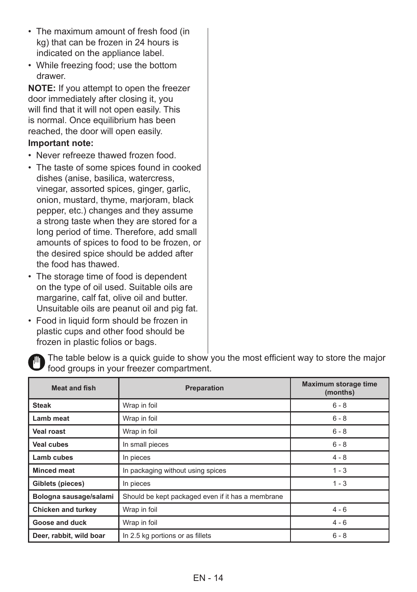- The maximum amount of fresh food (in kg) that can be frozen in 24 hours is indicated on the appliance label.
- While freezing food; use the bottom drawer.

**NOTE:** If you attempt to open the freezer door immediately after closing it, you will find that it will not open easily. This is normal. Once equilibrium has been reached, the door will open easily.

#### **Important note:**

- Never refreeze thawed frozen food.
- The taste of some spices found in cooked dishes (anise, basilica, watercress, vinegar, assorted spices, ginger, garlic, onion, mustard, thyme, marjoram, black pepper, etc.) changes and they assume a strong taste when they are stored for a long period of time. Therefore, add small amounts of spices to food to be frozen, or the desired spice should be added after the food has thawed.
- The storage time of food is dependent on the type of oil used. Suitable oils are margarine, calf fat, olive oil and butter. Unsuitable oils are peanut oil and pig fat.
- Food in liquid form should be frozen in plastic cups and other food should be frozen in plastic folios or bags.



The table below is a quick guide to show you the most efficient way to store the major food groups in your freezer compartment.

| <b>Meat and fish</b><br><b>Preparation</b> |                                                   | Maximum storage time<br>(months) |
|--------------------------------------------|---------------------------------------------------|----------------------------------|
| <b>Steak</b>                               | Wrap in foil                                      | $6 - 8$                          |
| Lamb meat                                  | Wrap in foil                                      | $6 - 8$                          |
| <b>Veal roast</b>                          | Wrap in foil                                      | $6 - 8$                          |
| Veal cubes                                 | In small pieces                                   | $6 - 8$                          |
| Lamb cubes                                 | In pieces                                         | $4 - 8$                          |
| <b>Minced meat</b>                         | In packaging without using spices                 | $1 - 3$                          |
| Giblets (pieces)                           | In pieces                                         | $1 - 3$                          |
| Bologna sausage/salami                     | Should be kept packaged even if it has a membrane |                                  |
| <b>Chicken and turkey</b>                  | Wrap in foil                                      | $4 - 6$                          |
| Goose and duck                             | Wrap in foil                                      | $4 - 6$                          |
| Deer, rabbit, wild boar                    | In 2.5 kg portions or as fillets                  | $6 - 8$                          |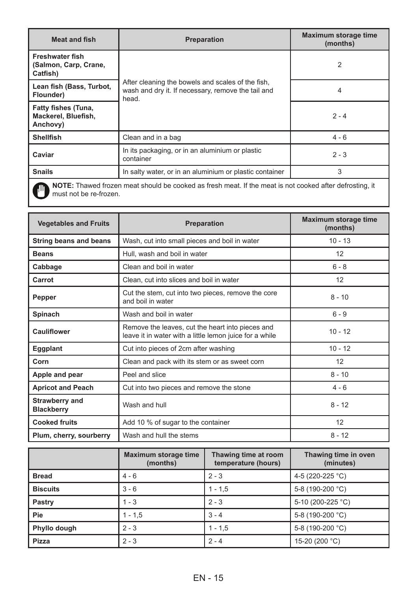| <b>Meat and fish</b><br><b>Preparation</b>                                                                                       |                                                                                                                  | Maximum storage time<br>(months) |  |
|----------------------------------------------------------------------------------------------------------------------------------|------------------------------------------------------------------------------------------------------------------|----------------------------------|--|
| <b>Freshwater fish</b><br>(Salmon, Carp, Crane,<br>Catfish)                                                                      |                                                                                                                  | $\overline{2}$                   |  |
| Lean fish (Bass, Turbot,<br>Flounder)                                                                                            | After cleaning the bowels and scales of the fish.<br>wash and dry it. If necessary, remove the tail and<br>head. | 4                                |  |
| Fatty fishes (Tuna,<br>Mackerel, Bluefish,<br>Anchovy)                                                                           |                                                                                                                  | $2 - 4$                          |  |
| <b>Shellfish</b>                                                                                                                 | Clean and in a bag                                                                                               | $4 - 6$                          |  |
| Caviar                                                                                                                           | In its packaging, or in an aluminium or plastic<br>container                                                     | $2 - 3$                          |  |
| <b>Snails</b>                                                                                                                    | In salty water, or in an aluminium or plastic container                                                          | 3                                |  |
| NOTE: Thawed frozen meat should be cooked as fresh meat. If the meat is not cooked after defrosting, it<br>must not he re-frozen |                                                                                                                  |                                  |  |

**NOTE:** Thawed frozen meat should be cooked as fresh meat. If the meat is not cooked after defrosting, it must not be re-frozen.

| <b>Vegetables and Fruits</b>                     | Preparation                                                                                                 | Maximum storage time<br>(months) |
|--------------------------------------------------|-------------------------------------------------------------------------------------------------------------|----------------------------------|
| <b>String beans and beans</b>                    | Wash, cut into small pieces and boil in water                                                               | $10 - 13$                        |
| <b>Beans</b>                                     | Hull, wash and boil in water                                                                                | 12                               |
| Cabbage                                          | Clean and boil in water                                                                                     | $6 - 8$                          |
| Carrot                                           | Clean, cut into slices and boil in water                                                                    | 12                               |
| Pepper                                           | Cut the stem, cut into two pieces, remove the core<br>and boil in water                                     | $8 - 10$                         |
| Wash and boil in water<br>Spinach                |                                                                                                             | $6 - 9$                          |
| Cauliflower                                      | Remove the leaves, cut the heart into pieces and<br>leave it in water with a little lemon juice for a while | $10 - 12$                        |
| Cut into pieces of 2cm after washing<br>Eggplant |                                                                                                             | $10 - 12$                        |
| Corn                                             | Clean and pack with its stem or as sweet corn                                                               | 12                               |
| Apple and pear                                   | Peel and slice                                                                                              | $8 - 10$                         |
| <b>Apricot and Peach</b>                         | Cut into two pieces and remove the stone                                                                    | $4 - 6$                          |
| Strawberry and<br><b>Blackberry</b>              | Wash and hull                                                                                               | $8 - 12$                         |
| <b>Cooked fruits</b>                             | Add 10 % of sugar to the container                                                                          | 12                               |
| Plum, cherry, sourberry                          | Wash and hull the stems                                                                                     | $8 - 12$                         |

|                 | Maximum storage time<br>(months) | Thawing time at room<br>temperature (hours) | Thawing time in oven<br>(minutes) |
|-----------------|----------------------------------|---------------------------------------------|-----------------------------------|
| <b>Bread</b>    | $4 - 6$                          | $2 - 3$                                     | 4-5 (220-225 °C)                  |
| <b>Biscuits</b> | $3 - 6$                          | $1 - 1.5$                                   | 5-8 (190-200 °C)                  |
| Pastry          | $1 - 3$                          | $2 - 3$                                     | 5-10 (200-225 °C)                 |
| Pie             | $1 - 1.5$                        | $3 - 4$                                     | 5-8 (190-200 °C)                  |
| Phyllo dough    | $2 - 3$                          | $1 - 1.5$                                   | 5-8 (190-200 °C)                  |
| Pizza           | $2 - 3$                          | $2 - 4$                                     | 15-20 (200 °C)                    |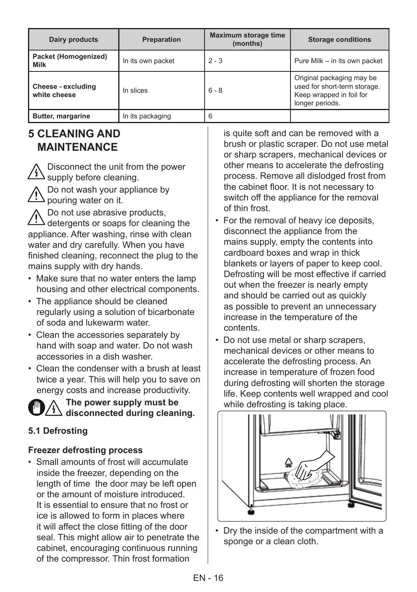| Dairy products                     | Preparation       | <b>Maximum storage time</b><br>(months) | <b>Storage conditions</b>                                                                                |
|------------------------------------|-------------------|-----------------------------------------|----------------------------------------------------------------------------------------------------------|
| Packet (Homogenized)<br>Milk       | In its own packet | $2 - 3$                                 | Pure Milk - in its own packet                                                                            |
| Cheese - excluding<br>white cheese | In slices         | $6 - 8$                                 | Original packaging may be<br>used for short-term storage.<br>Keep wrapped in foil for<br>longer periods. |
| Butter, margarine                  | In its packaging  | 6                                       |                                                                                                          |

# **5 CLEANING AND MAINTENANCE**

Disconnect the unit from the power  $\mathcal{L}_{\text{2}}$  supply before cleaning.

Do not wash your appliance by  $\Delta$  pouring water on it.

Do not use abrasive products,  $\Delta$  detergents or soaps for cleaning the appliance. After washing, rinse with clean water and dry carefully. When you have finished cleaning, reconnect the plug to the mains supply with dry hands.

- Make sure that no water enters the lamp housing and other electrical components.
- The appliance should be cleaned regularly using a solution of bicarbonate of soda and lukewarm water.
- Clean the accessories separately by hand with soap and water. Do not wash accessories in a dish washer.
- Clean the condenser with a brush at least twice a year. This will help you to save on energy costs and increase productivity.



**The power supply must be**   $\frac{11}{2}$  disconnected during cleaning.

#### **5.1 Defrosting**

#### **Freezer defrosting process**

• Small amounts of frost will accumulate inside the freezer, depending on the length of time the door may be left open or the amount of moisture introduced. It is essential to ensure that no frost or ice is allowed to form in places where it will affect the close fitting of the door seal. This might allow air to penetrate the cabinet, encouraging continuous running of the compressor. Thin frost formation

is quite soft and can be removed with a brush or plastic scraper. Do not use metal or sharp scrapers, mechanical devices or other means to accelerate the defrosting process. Remove all dislodged frost from the cabinet floor. It is not necessary to switch off the appliance for the removal of thin frost.

- For the removal of heavy ice deposits, disconnect the appliance from the mains supply, empty the contents into cardboard boxes and wrap in thick blankets or layers of paper to keep cool. Defrosting will be most effective if carried out when the freezer is nearly empty and should be carried out as quickly as possible to prevent an unnecessary increase in the temperature of the contents.
- Do not use metal or sharp scrapers, mechanical devices or other means to accelerate the defrosting process. An increase in temperature of frozen food during defrosting will shorten the storage life. Keep contents well wrapped and cool while defrosting is taking place.



• Dry the inside of the compartment with a sponge or a clean cloth.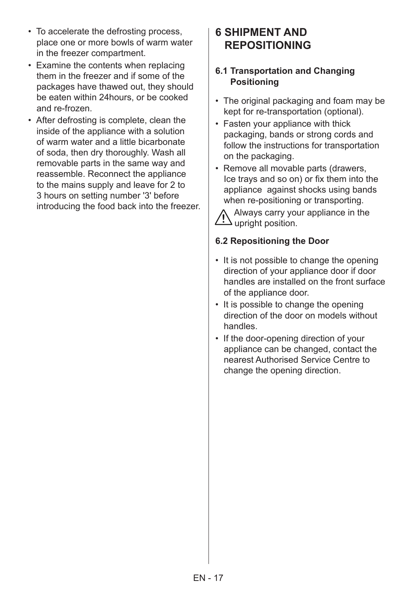- To accelerate the defrosting process, place one or more bowls of warm water in the freezer compartment.
- Examine the contents when replacing them in the freezer and if some of the packages have thawed out, they should be eaten within 24hours, or be cooked and re-frozen.
- After defrosting is complete, clean the inside of the appliance with a solution of warm water and a little bicarbonate of soda, then dry thoroughly. Wash all removable parts in the same way and reassemble. Reconnect the appliance to the mains supply and leave for 2 to 3 hours on setting number '3' before introducing the food back into the freezer.

## **6 SHIPMENT AND REPOSITIONING**

#### **6.1 Transportation and Changing Positioning**

- The original packaging and foam may be kept for re-transportation (optional).
- Fasten your appliance with thick packaging, bands or strong cords and follow the instructions for transportation on the packaging.
- Remove all movable parts (drawers, Ice trays and so on) or fix them into the appliance against shocks using bands when re-positioning or transporting.

Always carry your appliance in the  $\Delta$  upright position.

#### **6.2 Repositioning the Door**

- It is not possible to change the opening direction of your appliance door if door handles are installed on the front surface of the appliance door.
- It is possible to change the opening direction of the door on models without handles.
- If the door-opening direction of your appliance can be changed, contact the nearest Authorised Service Centre to change the opening direction.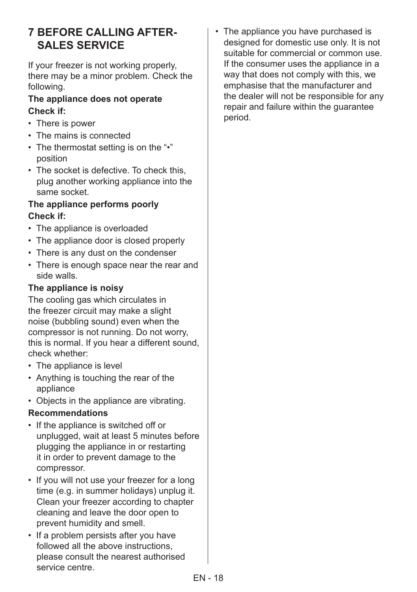# **7 BEFORE CALLING AFTER-SALES SERVICE**

If your freezer is not working properly, there may be a minor problem. Check the following.

#### **The appliance does not operate Check if:**

- There is power
- The mains is connected
- The thermostat setting is on the "•" position
- The socket is defective. To check this, plug another working appliance into the same socket.

#### **The appliance performs poorly Check if:**

- The appliance is overloaded
- The appliance door is closed properly
- There is any dust on the condenser
- There is enough space near the rear and side walls.

#### **The appliance is noisy**

The cooling gas which circulates in the freezer circuit may make a slight noise (bubbling sound) even when the compressor is not running. Do not worry, this is normal. If you hear a different sound, check whether:

- The appliance is level
- Anything is touching the rear of the appliance
- Objects in the appliance are vibrating.

#### **Recommendations**

- If the appliance is switched off or unplugged, wait at least 5 minutes before plugging the appliance in or restarting it in order to prevent damage to the compressor.
- If you will not use your freezer for a long time (e.g. in summer holidays) unplug it. Clean your freezer according to chapter cleaning and leave the door open to prevent humidity and smell.
- If a problem persists after you have followed all the above instructions, please consult the nearest authorised service centre.

• The appliance you have purchased is designed for domestic use only. It is not suitable for commercial or common use. If the consumer uses the appliance in a way that does not comply with this, we emphasise that the manufacturer and the dealer will not be responsible for any repair and failure within the guarantee period.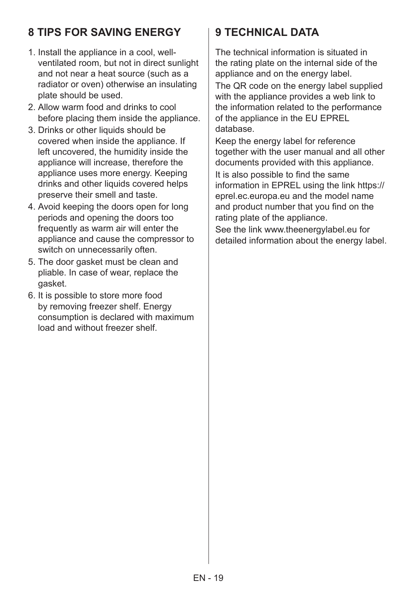# **8 TIPS FOR SAVING ENERGY**

- 1. Install the appliance in a cool, wellventilated room, but not in direct sunlight and not near a heat source (such as a radiator or oven) otherwise an insulating plate should be used.
- 2. Allow warm food and drinks to cool before placing them inside the appliance.
- 3. Drinks or other liquids should be covered when inside the appliance. If left uncovered, the humidity inside the appliance will increase, therefore the appliance uses more energy. Keeping drinks and other liquids covered helps preserve their smell and taste.
- 4. Avoid keeping the doors open for long periods and opening the doors too frequently as warm air will enter the appliance and cause the compressor to switch on unnecessarily often.
- 5. The door gasket must be clean and pliable. In case of wear, replace the gasket.
- 6. It is possible to store more food by removing freezer shelf. Energy consumption is declared with maximum load and without freezer shelf.

# **9 TECHNICAL DATA**

The technical information is situated in the rating plate on the internal side of the appliance and on the energy label. The QR code on the energy label supplied with the appliance provides a web link to the information related to the performance

of the appliance in the EU EPREL database.

Keep the energy label for reference together with the user manual and all other documents provided with this appliance.

It is also possible to find the same information in EPREL using the link https:// eprel.ec.europa.eu and the model name and product number that you find on the rating plate of the appliance.

See the link www.theenergylabel.eu for detailed information about the energy label.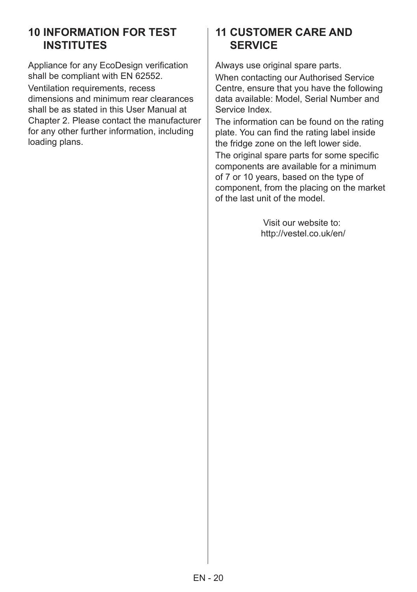# **10 INFORMATION FOR TEST INSTITUTES**

Appliance for any EcoDesign verification shall be compliant with EN 62552.

Ventilation requirements, recess dimensions and minimum rear clearances shall be as stated in this User Manual at Chapter 2. Please contact the manufacturer for any other further information, including loading plans.

## **11 CUSTOMER CARE AND SERVICE**

Always use original spare parts.

When contacting our Authorised Service Centre, ensure that you have the following data available: Model, Serial Number and Service Index.

The information can be found on the rating plate. You can find the rating label inside the fridge zone on the left lower side.

The original spare parts for some specific components are available for a minimum of 7 or 10 years, based on the type of component, from the placing on the market of the last unit of the model.

> Visit our website to: http://vestel.co.uk/en/